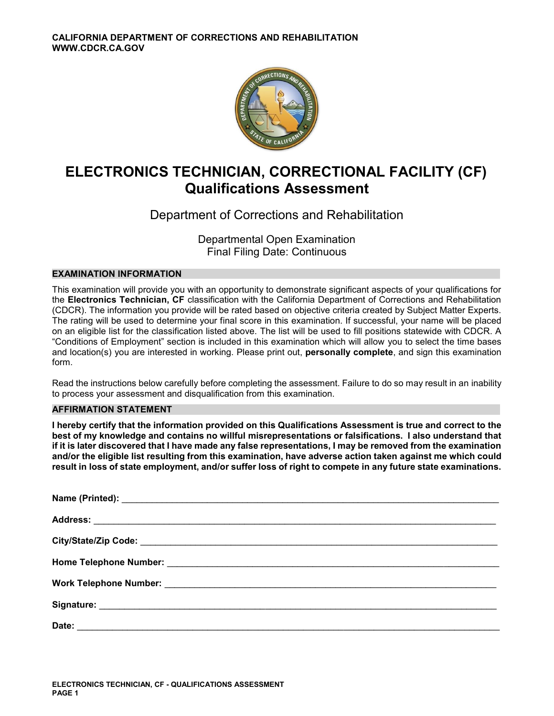

# **ELECTRONICS TECHNICIAN, CORRECTIONAL FACILITY (CF) Qualifications Assessment**

# Department of Corrections and Rehabilitation

Departmental Open Examination Final Filing Date: Continuous

# **EXAMINATION INFORMATION**

This examination will provide you with an opportunity to demonstrate significant aspects of your qualifications for the **Electronics Technician, CF** classification with the California Department of Corrections and Rehabilitation (CDCR). The information you provide will be rated based on objective criteria created by Subject Matter Experts. The rating will be used to determine your final score in this examination. If successful, your name will be placed on an eligible list for the classification listed above. The list will be used to fill positions statewide with CDCR. A "Conditions of Employment" section is included in this examination which will allow you to select the time bases and location(s) you are interested in working. Please print out, **personally complete**, and sign this examination form.

Read the instructions below carefully before completing the assessment. Failure to do so may result in an inability to process your assessment and disqualification from this examination.

# **AFFIRMATION STATEMENT**

**I hereby certify that the information provided on this Qualifications Assessment is true and correct to the best of my knowledge and contains no willful misrepresentations or falsifications. I also understand that if it is later discovered that I have made any false representations, I may be removed from the examination and/or the eligible list resulting from this examination, have adverse action taken against me which could result in loss of state employment, and/or suffer loss of right to compete in any future state examinations.**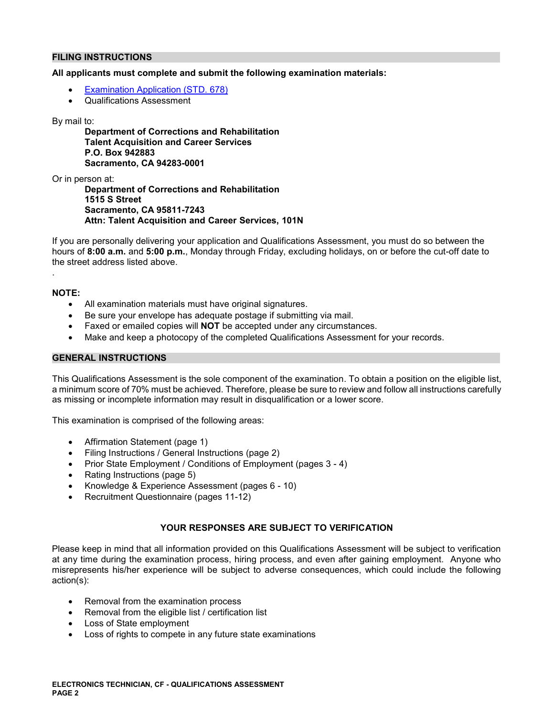#### **FILING INSTRUCTIONS**

#### **All applicants must complete and submit the following examination materials:**

- [Examination Application \(STD. 678\)](https://jobs.ca.gov/pdf/STD678.pdf)
- Qualifications Assessment

#### By mail to:

**Department of Corrections and Rehabilitation Talent Acquisition and Career Services P.O. Box 942883 Sacramento, CA 94283-0001** 

Or in person at:

**Department of Corrections and Rehabilitation 1515 S Street Sacramento, CA 95811-7243 Attn: Talent Acquisition and Career Services, 101N**

If you are personally delivering your application and Qualifications Assessment, you must do so between the hours of **8:00 a.m.** and **5:00 p.m.**, Monday through Friday, excluding holidays, on or before the cut-off date to the street address listed above.

# **NOTE:**

.

- All examination materials must have original signatures.
- Be sure your envelope has adequate postage if submitting via mail.
- Faxed or emailed copies will **NOT** be accepted under any circumstances.
- Make and keep a photocopy of the completed Qualifications Assessment for your records.

#### **GENERAL INSTRUCTIONS**

This Qualifications Assessment is the sole component of the examination. To obtain a position on the eligible list, a minimum score of 70% must be achieved. Therefore, please be sure to review and follow all instructions carefully as missing or incomplete information may result in disqualification or a lower score.

This examination is comprised of the following areas:

- Affirmation Statement (page 1)
- Filing Instructions / General Instructions (page 2)
- Prior State Employment / Conditions of Employment (pages 3 4)
- Rating Instructions (page 5)
- Knowledge & Experience Assessment (pages 6 10)
- Recruitment Questionnaire (pages 11-12)

# **YOUR RESPONSES ARE SUBJECT TO VERIFICATION**

Please keep in mind that all information provided on this Qualifications Assessment will be subject to verification at any time during the examination process, hiring process, and even after gaining employment. Anyone who misrepresents his/her experience will be subject to adverse consequences, which could include the following action(s):

- Removal from the examination process
- Removal from the eligible list / certification list
- Loss of State employment
- Loss of rights to compete in any future state examinations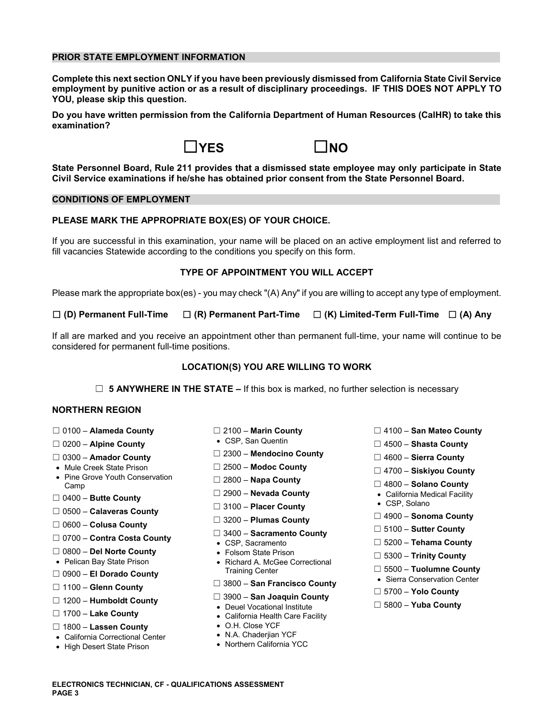# **PRIOR STATE EMPLOYMENT INFORMATION**

**Complete this next section ONLY if you have been previously dismissed from California State Civil Service employment by punitive action or as a result of disciplinary proceedings. IF THIS DOES NOT APPLY TO YOU, please skip this question.** 

**Do you have written permission from the California Department of Human Resources (CalHR) to take this examination?** 





**State Personnel Board, Rule 211 provides that a dismissed state employee may only participate in State Civil Service examinations if he/she has obtained prior consent from the State Personnel Board.** 

#### **CONDITIONS OF EMPLOYMENT**

# **PLEASE MARK THE APPROPRIATE BOX(ES) OF YOUR CHOICE.**

If you are successful in this examination, your name will be placed on an active employment list and referred to fill vacancies Statewide according to the conditions you specify on this form.

#### **TYPE OF APPOINTMENT YOU WILL ACCEPT**

Please mark the appropriate box(es) - you may check "(A) Any" if you are willing to accept any type of employment.

☐ **(D) Permanent Full-Time** ☐ **(R) Permanent Part-Time** ☐ **(K) Limited-Term Full-Time** ☐ **(A) Any**

If all are marked and you receive an appointment other than permanent full-time, your name will continue to be considered for permanent full-time positions.

#### **LOCATION(S) YOU ARE WILLING TO WORK**

□ **5 ANYWHERE IN THE STATE –** If this box is marked, no further selection is necessary

#### **NORTHERN REGION**

- 
- 
- 
- 
- Mule Creek State Prison ☐ 2500 **Modoc County** ☐ 4700 **Siskiyou County** Pine Grove Youth Conservation ☐ 2800 **Napa County** Camp ☐ 4800 **Solano County**
- 
- ☐ 0500 **Calaveras County**
- 
- 
- 
- 
- 
- 
- ☐ 3900 **San Joaquin County** 1200 **Humboldt County** ☐
- 
- ☐ 1800 **Lassen County** O.H. Close YCF
- California Correctional Center N.A. Chaderjian YCF
- High Desert State Prison
- 
- 
- ☐ 2300 **Mendocino County** 0300 **Amador County** ☐ ☐ 4600 **Sierra County**
	-
	-
	-
	- ☐ CSP, Solano 3100 **Placer County**
	-
- <p>□ 0600 Colusa County</p>\n<p>□ 3400 Sacramento County</p>\n<p>□ 5100 Sutter County</p>\n<p>□ 5200 T limits County</p>\n<p>□ 5100 Sutter County</p>\n<p>□ 5200 Telama County</p>\n<p>□ 5200 Telhama County</p>\n<p>□ 6800 Del Norte County</p>\n<p>□ 6800 Del Norte County</p>\n<p>□ 6800 Tehama County</p>
	-
	-
- ☐ 0800 **Del Norte County** Folsom State Prison ☐ 5300 **Trinity County** Pelican Bay State Prison Richard A. McGee Correctional <u>□ 5500</u> – El Dorado County<br>
□ 5500 – El Dorado County<br>
□ 5500 – **El Dorado County** → Sierra Conservation Center<br>
□ 1100 – Glenn County → Sierra Conservation Center
	-
	- ☐ 3800 **San Francisco County** 1100 **Glenn County** ☐
	- Deuel Vocational Institute ☐ 5800 **Yuba County**
- □ 1700 **Lake County** <br>● California Health Care Facility
	-
	-
	-
- ☐ 0100 **Alameda County** ☐ 2100 **Marin County** ☐ 4100 **San Mateo County**
- ☐ **Alpine County** CSP, San Quentin 0200 ☐ 4500 **Shasta County**
	-
	-
	-
- Camp<br>
□ 2900 **Nevada County**<br>
□ 2900 **Nevada County**<br>
□ 2900 **Nevada County**<br>
 CSP, Solano<br>
 CSP, Solano
	-
- ☐ ☐ 4900 **Sonoma County** 3200 **Plumas County** ☐ 0600 **Colusa County**
	-
	-
	-
	-
	-
	- ☐ 5700 **Yolo County**
	-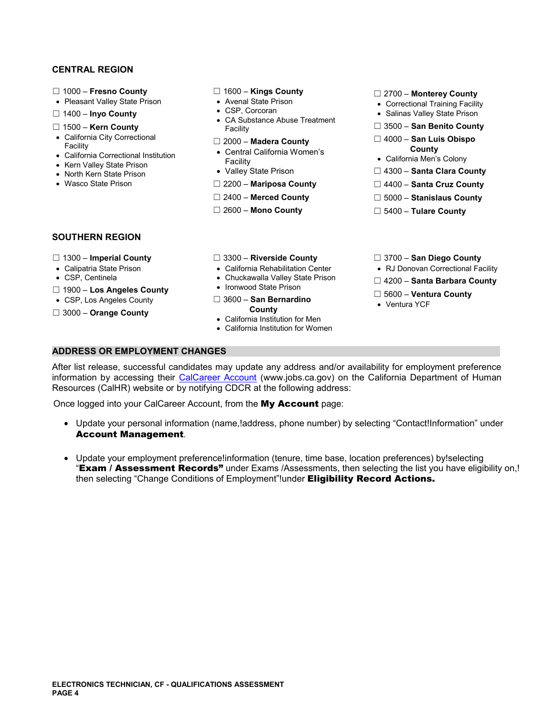# **CENTRAL REGION**

- 
- 
- 
- 
- 
- 
- 
- 
- 
- 
- 
- 
- □ 1400 **Inyo County** <br>CA Substance Abuse Treatment **and Substance Abuse Treatment** <br>Facility Facility Facility Facility **COUNTY** Below Treatment **COUNTY** DETAIL BEGINER
	-
	-
	-
	-
	-
	- ☐ 2600 **Mono County** ☐ 5400 **Tulare County**
- 
- 
- **□ 1000 Fresno County** 1600 **Kings County** 2700 **Monterey County**<br>
 Pleasant Valley State Prison Avenal State Prison ● Correctional Training Facility<br>
1400 **Inyo Co** 
	- ☐ 1500 **Kern County** Facility ☐ 3500 **San Benito County**
- California City Correctional ☐ 2000 **Madera County** ☐ 4000 **San Luis Obispo** Facility Central California Women's **County** California Correctional Institution Facility California Men's Colony Kern Valley State Prison
	-
- Kern Valley State Prison<br>• North Kern State Prison Valley State Prison □ 4300 **Santa Clara County**
- Wasco State Prison **DEMACH COUNT TO 2200 Mariposa County** DEMACH 2400 Santa Cruz County
	- ☐ 2400 **Merced County** ☐ 5000 **Stanislaus County**
		-

# **SOUTHERN REGION**

- 
- 
- 
- □ 1900 Los Angeles County
- 
- ☐ 3000 **Orange County** California Institution for Men
- 
- ☐ 1300 **Imperial County** ☐ 3300 **Riverside County** ☐ 3700 **San Diego County**
- Calipatria State Prison California Rehabilitation Center RJ Donovan Correctional Facility
	-
- ☐ 5600 **Ventura County** CSP, Los Angeles County ☐ 3600 **San Bernardino County County County**
- Chuckawalla Valley State Prison <u>□</u> 4200 **Santa Barbara County**<br>■ Ironwood State Prison
	-
	-
	- California Institution for Women
	-

**ADDRESS OR EMPLOYMENT CHANGES** 

After list release, successful candidates may update any address and/or availability for employment preference information by accessing their [CalCareer Account](https://www.jobs.ca.gov/) (www.jobs.ca.gov) on the California Department of Human Resources (CalHR) website or by notifying CDCR at the following address:

Once logged into your CalCareer Account, from the My Account page:

- Update your personal information (name,!address, phone number) by selecting "Contact!Information" under Account Management.
- Update your employment preference!information (tenure, time base, location preferences) by!selecting "Exam / Assessment Records" under Exams /Assessments, then selecting the list you have eligibility on,! then selecting "Change Conditions of Employment"!under **Eligibility Record Actions.**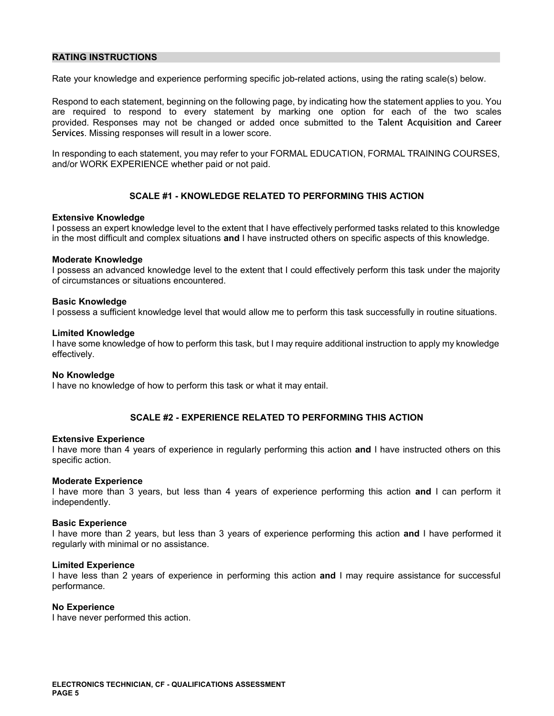#### **RATING INSTRUCTIONS**

Rate your knowledge and experience performing specific job-related actions, using the rating scale(s) below.

Respond to each statement, beginning on the following page, by indicating how the statement applies to you. You are required to respond to every statement by marking one option for each of the two scales provided. Responses may not be changed or added once submitted to the **Talent Acquisition and Career Services**. Missing responses will result in a lower score.

In responding to each statement, you may refer to your FORMAL EDUCATION, FORMAL TRAINING COURSES, and/or WORK EXPERIENCE whether paid or not paid.

# **SCALE #1 - KNOWLEDGE RELATED TO PERFORMING THIS ACTION**

#### **Extensive Knowledge**

I possess an expert knowledge level to the extent that I have effectively performed tasks related to this knowledge in the most difficult and complex situations **and** I have instructed others on specific aspects of this knowledge.

#### **Moderate Knowledge**

I possess an advanced knowledge level to the extent that I could effectively perform this task under the majority of circumstances or situations encountered.

#### **Basic Knowledge**

I possess a sufficient knowledge level that would allow me to perform this task successfully in routine situations.

#### **Limited Knowledge**

I have some knowledge of how to perform this task, but I may require additional instruction to apply my knowledge effectively.

#### **No Knowledge**

I have no knowledge of how to perform this task or what it may entail.

# **SCALE #2 - EXPERIENCE RELATED TO PERFORMING THIS ACTION**

#### **Extensive Experience**

I have more than 4 years of experience in regularly performing this action **and** I have instructed others on this specific action.

#### **Moderate Experience**

I have more than 3 years, but less than 4 years of experience performing this action **and** I can perform it independently.

#### **Basic Experience**

I have more than 2 years, but less than 3 years of experience performing this action **and** I have performed it regularly with minimal or no assistance.

#### **Limited Experience**

I have less than 2 years of experience in performing this action **and** I may require assistance for successful performance.

#### **No Experience**

I have never performed this action.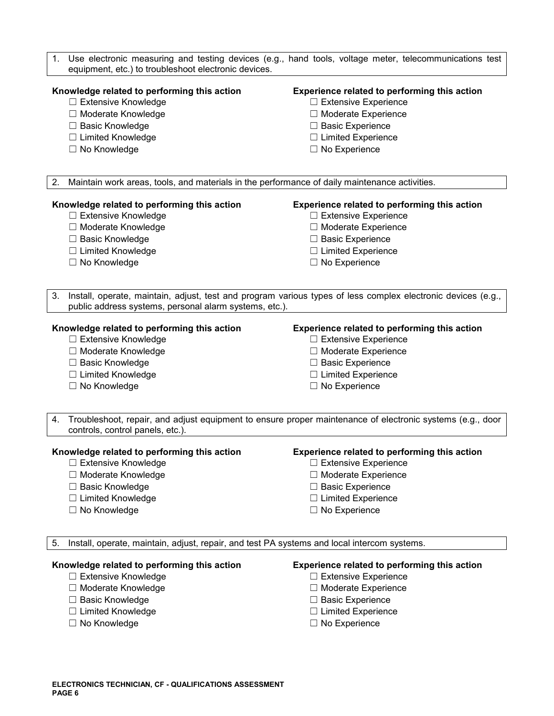- 1. Use electronic measuring and testing devices (e.g., hand tools, voltage meter, telecommunications test equipment, etc.) to troubleshoot electronic devices. **Knowledge related to performing this action Experience related to performing this action**  ☐ Extensive Knowledge ☐ Extensive Experience ☐ Moderate Knowledge ☐ Moderate Experience ☐ Basic Knowledge ☐ Basic Experience ☐ Limited Knowledge ☐ Limited Experience ☐ No Knowledge ☐ No Experience 2. Maintain work areas, tools, and materials in the performance of daily maintenance activities. **Knowledge related to performing this action Experience related to performing this action**  ☐ Extensive Knowledge ☐ Extensive Experience ☐ Moderate Knowledge ☐ Moderate Experience ☐ Basic Knowledge ☐ Basic Experience ☐ Limited Knowledge ☐ Limited Experience ☐ No Knowledge ☐ No Experience 3. Install, operate, maintain, adjust, test and program various types of less complex electronic devices (e.g., public address systems, personal alarm systems, etc.). **Knowledge related to performing this action Experience related to performing this action**  ☐ Extensive Knowledge ☐ Extensive Experience ☐ Moderate Knowledge ☐ Moderate Experience ☐ Basic Knowledge ☐ Basic Experience ☐ Limited Knowledge ☐ Limited Experience ☐ No Knowledge ☐ No Experience 4. Troubleshoot, repair, and adjust equipment to ensure proper maintenance of electronic systems (e.g., door controls, control panels, etc.). **Knowledge related to performing this action Experience related to performing this action**  ☐ Extensive Knowledge ☐ Extensive Experience ☐ Moderate Knowledge ☐ Moderate Experience ☐ Basic Knowledge ☐ Basic Experience ☐ Limited Knowledge ☐ Limited Experience ☐ No Knowledge ☐ No Experience 5. Install, operate, maintain, adjust, repair, and test PA systems and local intercom systems. **Knowledge related to performing this action Experience related to performing this action**  ☐ Extensive Knowledge ☐ Extensive Experience
	-
	-
	-
	-
- 
- ☐ Moderate Knowledge ☐ Moderate Experience
- ☐ Basic Knowledge ☐ Basic Experience
- ☐ Limited Knowledge ☐ Limited Experience
- ☐ No Knowledge ☐ No Experience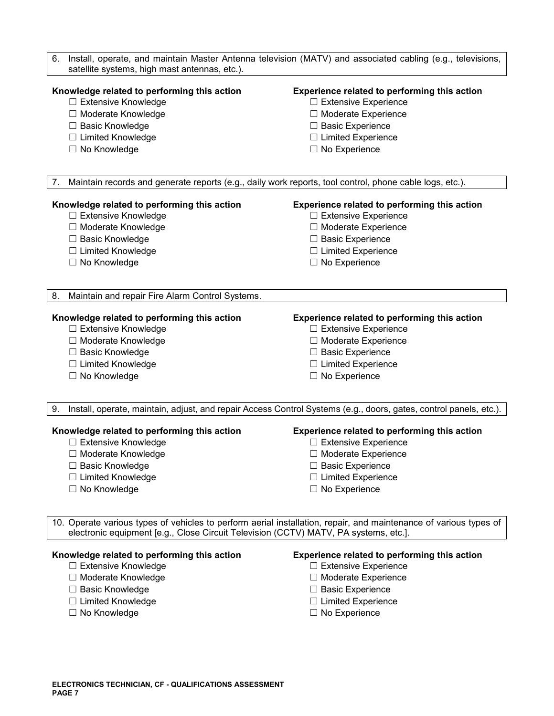| 6. | Install, operate, and maintain Master Antenna television (MATV) and associated cabling (e.g., televisions,<br>satellite systems, high mast antennas, etc.).                                               |                                                                                                                                                                                      |  |
|----|-----------------------------------------------------------------------------------------------------------------------------------------------------------------------------------------------------------|--------------------------------------------------------------------------------------------------------------------------------------------------------------------------------------|--|
|    | Knowledge related to performing this action<br>□ Extensive Knowledge<br>□ Moderate Knowledge<br>□ Basic Knowledge<br>□ Limited Knowledge<br>□ No Knowledge                                                | <b>Experience related to performing this action</b><br>□ Extensive Experience<br>□ Moderate Experience<br>□ Basic Experience<br>$\Box$ Limited Experience<br>$\Box$ No Experience    |  |
|    |                                                                                                                                                                                                           |                                                                                                                                                                                      |  |
| 7. |                                                                                                                                                                                                           | Maintain records and generate reports (e.g., daily work reports, tool control, phone cable logs, etc.).                                                                              |  |
|    | Knowledge related to performing this action<br>□ Extensive Knowledge<br>□ Moderate Knowledge<br>□ Basic Knowledge<br>□ Limited Knowledge<br>□ No Knowledge                                                | Experience related to performing this action<br>□ Extensive Experience<br>□ Moderate Experience<br>□ Basic Experience<br>□ Limited Experience<br>$\Box$ No Experience                |  |
| 8. | Maintain and repair Fire Alarm Control Systems.                                                                                                                                                           |                                                                                                                                                                                      |  |
|    | Knowledge related to performing this action<br>□ Extensive Knowledge<br>□ Moderate Knowledge<br>□ Basic Knowledge<br>□ Limited Knowledge<br>□ No Knowledge                                                | Experience related to performing this action<br>$\Box$ Extensive Experience<br>□ Moderate Experience<br>□ Basic Experience<br>$\Box$ Limited Experience<br>$\Box$ No Experience      |  |
| 9. | Install, operate, maintain, adjust, and repair Access Control Systems (e.g., doors, gates, control panels, etc.).                                                                                         |                                                                                                                                                                                      |  |
|    | Knowledge related to performing this action<br>□ Extensive Knowledge<br>$\Box$ Moderate Knowledge<br>$\Box$ Basic Knowledge<br>□ Limited Knowledge<br>□ No Knowledge                                      | Experience related to performing this action<br>□ Extensive Experience<br>$\Box$ Moderate Experience<br>$\Box$ Basic Experience<br>$\Box$ Limited Experience<br>$\Box$ No Experience |  |
|    | 10. Operate various types of vehicles to perform aerial installation, repair, and maintenance of various types of<br>electronic equipment [e.g., Close Circuit Television (CCTV) MATV, PA systems, etc.]. |                                                                                                                                                                                      |  |
|    | Knowledge related to performing this action<br>□ Extensive Knowledge<br>□ Moderate Knowledge<br>□ Basic Knowledge<br>□ Limited Knowledge<br>□ No Knowledge                                                | Experience related to performing this action<br>$\Box$ Extensive Experience<br>□ Moderate Experience<br>$\Box$ Basic Experience<br>$\Box$ Limited Experience<br>$\Box$ No Experience |  |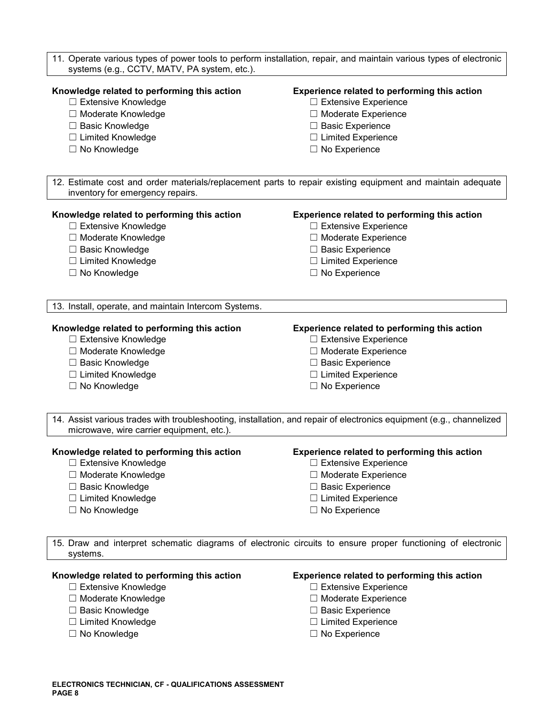| 11. Operate various types of power tools to perform installation, repair, and maintain various types of electronic<br>systems (e.g., CCTV, MATV, PA system, etc.). |                                                                        |  |  |
|--------------------------------------------------------------------------------------------------------------------------------------------------------------------|------------------------------------------------------------------------|--|--|
| Knowledge related to performing this action                                                                                                                        | Experience related to performing this action                           |  |  |
| □ Extensive Knowledge                                                                                                                                              | □ Extensive Experience                                                 |  |  |
| □ Moderate Knowledge                                                                                                                                               | □ Moderate Experience                                                  |  |  |
| □ Basic Knowledge                                                                                                                                                  | □ Basic Experience                                                     |  |  |
| □ Limited Knowledge                                                                                                                                                | $\Box$ Limited Experience                                              |  |  |
| □ No Knowledge                                                                                                                                                     | $\Box$ No Experience                                                   |  |  |
|                                                                                                                                                                    |                                                                        |  |  |
| 12. Estimate cost and order materials/replacement parts to repair existing equipment and maintain adequate<br>inventory for emergency repairs.                     |                                                                        |  |  |
| Knowledge related to performing this action                                                                                                                        | Experience related to performing this action                           |  |  |
| □ Extensive Knowledge                                                                                                                                              | □ Extensive Experience                                                 |  |  |
| □ Moderate Knowledge                                                                                                                                               | □ Moderate Experience                                                  |  |  |
| □ Basic Knowledge                                                                                                                                                  | □ Basic Experience                                                     |  |  |
| □ Limited Knowledge                                                                                                                                                | □ Limited Experience                                                   |  |  |
| □ No Knowledge                                                                                                                                                     | $\Box$ No Experience                                                   |  |  |
|                                                                                                                                                                    |                                                                        |  |  |
| 13. Install, operate, and maintain Intercom Systems.                                                                                                               |                                                                        |  |  |
|                                                                                                                                                                    |                                                                        |  |  |
| Knowledge related to performing this action<br>□ Extensive Knowledge                                                                                               | Experience related to performing this action<br>□ Extensive Experience |  |  |
| □ Moderate Knowledge                                                                                                                                               | □ Moderate Experience                                                  |  |  |
| □ Basic Knowledge                                                                                                                                                  | □ Basic Experience                                                     |  |  |
| □ Limited Knowledge                                                                                                                                                | $\Box$ Limited Experience                                              |  |  |
| □ No Knowledge                                                                                                                                                     | $\Box$ No Experience                                                   |  |  |
|                                                                                                                                                                    |                                                                        |  |  |
| 14. Assist various trades with troubleshooting, installation, and repair of electronics equipment (e.g., channelized                                               |                                                                        |  |  |
| microwave, wire carrier equipment, etc.).                                                                                                                          |                                                                        |  |  |
| Knowledge related to performing this action<br>Experience related to performing this action                                                                        |                                                                        |  |  |
| $\Box$ Extensive Knowledge                                                                                                                                         | $\Box$ Extensive Experience                                            |  |  |
| □ Moderate Knowledge                                                                                                                                               | □ Moderate Experience                                                  |  |  |
| □ Basic Knowledge                                                                                                                                                  | $\Box$ Basic Experience                                                |  |  |
| □ Limited Knowledge                                                                                                                                                | $\Box$ Limited Experience                                              |  |  |
| □ No Knowledge                                                                                                                                                     | $\Box$ No Experience                                                   |  |  |
|                                                                                                                                                                    |                                                                        |  |  |
| 15. Draw and interpret schematic diagrams of electronic circuits to ensure proper functioning of electronic                                                        |                                                                        |  |  |
| systems.                                                                                                                                                           |                                                                        |  |  |
| Knowledge related to performing this action                                                                                                                        | Experience related to performing this action                           |  |  |
| □ Extensive Knowledge                                                                                                                                              | $\Box$ Extensive Experience                                            |  |  |
| □ Moderate Knowledge                                                                                                                                               | □ Moderate Experience                                                  |  |  |
| <b>Basic Knowledge</b>                                                                                                                                             | $\Box$ Basic Experience                                                |  |  |

- 
- □ No Knowledge
- 
- ☐ Limited Knowledge ☐ Limited Experience
	-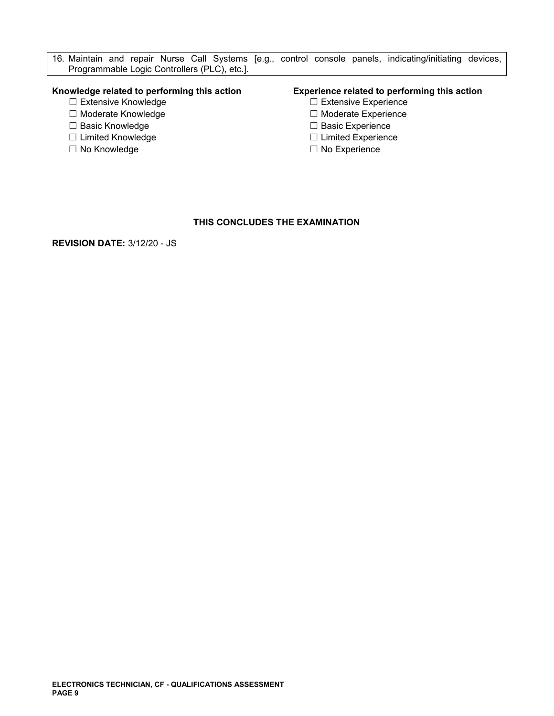16. Maintain and repair Nurse Call Systems [e.g., control console panels, indicating/initiating devices, Programmable Logic Controllers (PLC), etc.].

- 
- ☐ Moderate Knowledge ☐ Moderate Experience
- ☐ Basic Knowledge ☐ Basic Experience
- ☐ Limited Knowledge ☐ Limited Experience
- ☐ No Knowledge ☐ No Experience

# **Knowledge related to performing this action Experience related to performing this action**

- ☐ Extensive Knowledge ☐ Extensive Experience
	-
	-
	-
	-

# **THIS CONCLUDES THE EXAMINATION**

**REVISION DATE:** 3/12/20 - JS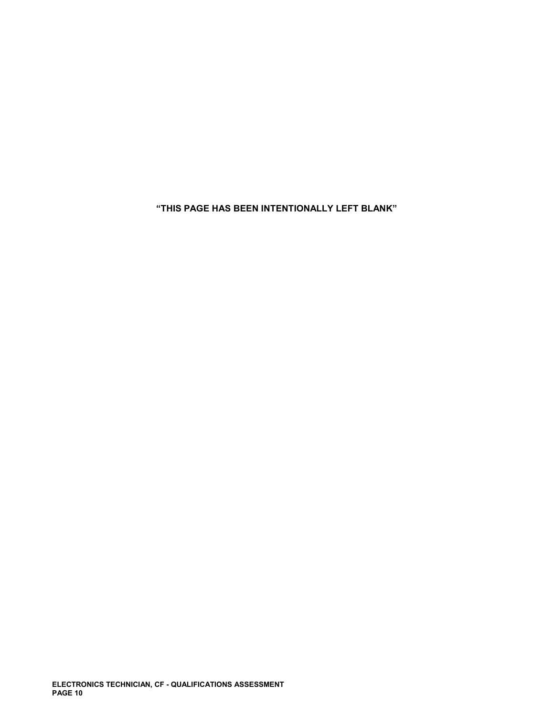**"THIS PAGE HAS BEEN INTENTIONALLY LEFT BLANK"**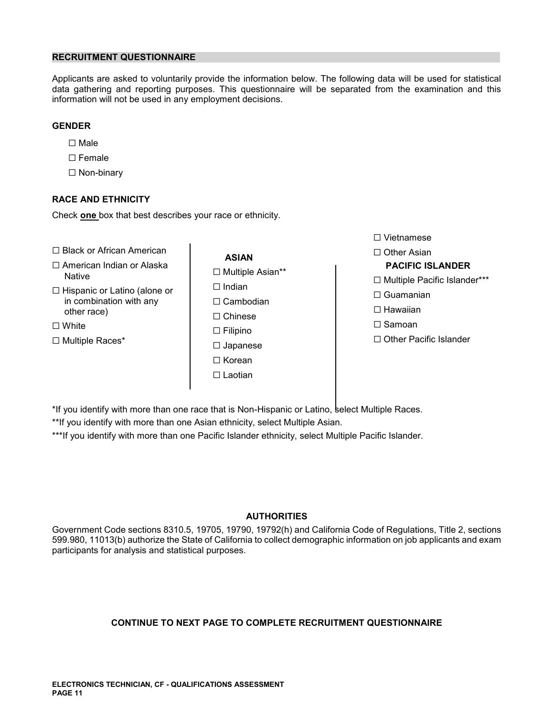# **RECRUITMENT QUESTIONNAIRE**

Applicants are asked to voluntarily provide the information below. The following data will be used for statistical data gathering and reporting purposes. This questionnaire will be separated from the examination and this information will not be used in any employment decisions.

# **GENDER**

- ☐ Male
- ☐ Female
- ☐ Non-binary

# **RACE AND ETHNICITY**

Check **one** box that best describes your race or ethnicity.

- ☐ Black or African American ☐ Other Asian **ASIAN**
- □ American Indian or Alaska<br>Native **PACIFIC ISLANDER**<br>Native **PACIFIC ISLAN**
- □ Hispanic or Latino (alone or Thispanic of Latino (alone of  $\Box$  Cambodian in combination with any  $\Box$  Cambodian  $\Box$   $\Box$  Chinese  $\Box$   $\Box$  Hawaiian other race) □ Hawaiian
- 
- 
- ☐ Chinese ☐ White ☐ Samoan ☐ Filipino ☐ Japanese ☐ Korean ☐ Laotian

☐ Vietnamese

- □ Multiple Pacific Islander\*\*\*<br>□ Indian
	-
	-
	-
- ☐ Multiple Races\* ☐ Other Pacific Islander

\*If you identify with more than one race that is Non-Hispanic or Latino, select Multiple Races.

\*\*If you identify with more than one Asian ethnicity, select Multiple Asian.

\*\*\*If you identify with more than one Pacific Islander ethnicity, select Multiple Pacific Islander.

# **AUTHORITIES**

Government Code sections 8310.5, 19705, 19790, 19792(h) and California Code of Regulations, Title 2, sections 599.980, 11013(b) authorize the State of California to collect demographic information on job applicants and exam participants for analysis and statistical purposes.

# **CONTINUE TO NEXT PAGE TO COMPLETE RECRUITMENT QUESTIONNAIRE**